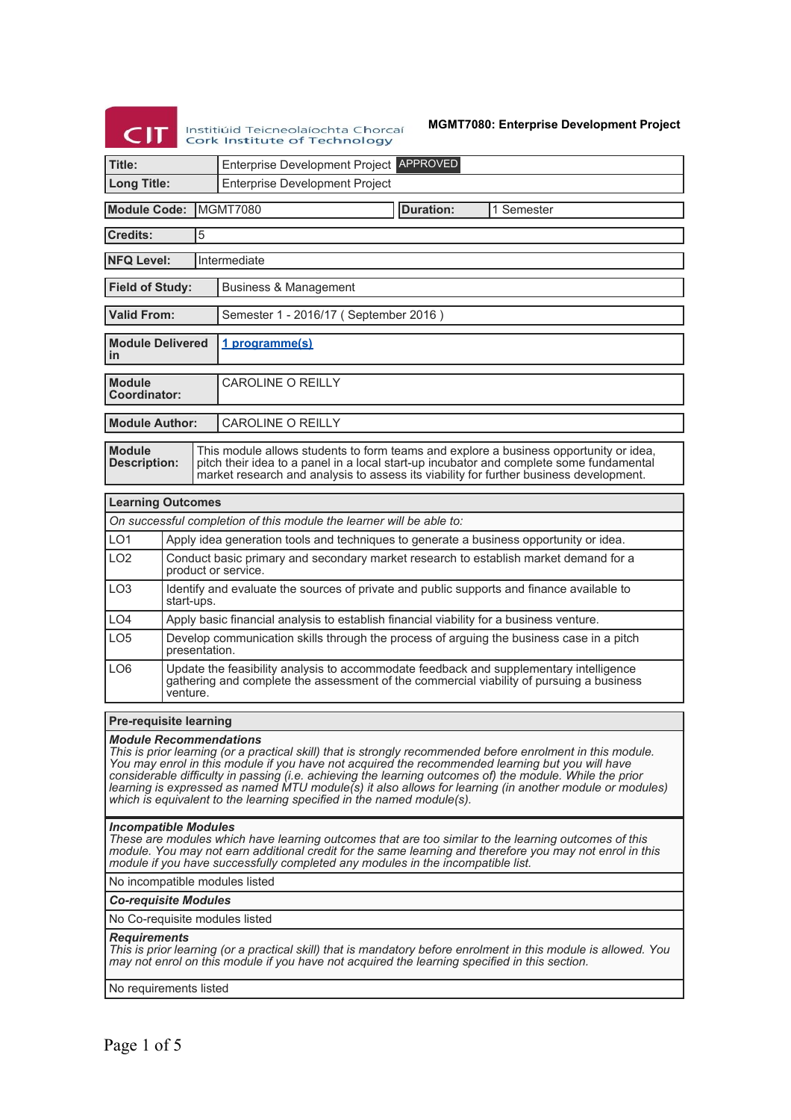# Institiúid Teicneolaíochta Chorcaí **Cork Institute of Technology**

**MGMT7080: Enterprise Development Project**

| Title:                                                               |                                                                                                                                                                                                |  |                                                                                                                                                                                                                                                                            |  |           |  |            |
|----------------------------------------------------------------------|------------------------------------------------------------------------------------------------------------------------------------------------------------------------------------------------|--|----------------------------------------------------------------------------------------------------------------------------------------------------------------------------------------------------------------------------------------------------------------------------|--|-----------|--|------------|
|                                                                      |                                                                                                                                                                                                |  | Enterprise Development Project APPROVED                                                                                                                                                                                                                                    |  |           |  |            |
| <b>Long Title:</b>                                                   |                                                                                                                                                                                                |  | <b>Enterprise Development Project</b>                                                                                                                                                                                                                                      |  |           |  |            |
| <b>Module Code:</b>                                                  |                                                                                                                                                                                                |  | MGMT7080                                                                                                                                                                                                                                                                   |  | Duration: |  | 1 Semester |
| Credits:                                                             | $\overline{5}$                                                                                                                                                                                 |  |                                                                                                                                                                                                                                                                            |  |           |  |            |
| <b>NFQ Level:</b>                                                    | Intermediate                                                                                                                                                                                   |  |                                                                                                                                                                                                                                                                            |  |           |  |            |
| <b>Field of Study:</b>                                               |                                                                                                                                                                                                |  | Business & Management                                                                                                                                                                                                                                                      |  |           |  |            |
| <b>Valid From:</b>                                                   |                                                                                                                                                                                                |  | Semester 1 - 2016/17 (September 2016)                                                                                                                                                                                                                                      |  |           |  |            |
| <b>Module Delivered</b><br>in                                        |                                                                                                                                                                                                |  | 1 programme(s)                                                                                                                                                                                                                                                             |  |           |  |            |
| <b>Module</b><br>Coordinator:                                        |                                                                                                                                                                                                |  | <b>CAROLINE O REILLY</b>                                                                                                                                                                                                                                                   |  |           |  |            |
| <b>Module Author:</b><br>CAROLINE O REILLY                           |                                                                                                                                                                                                |  |                                                                                                                                                                                                                                                                            |  |           |  |            |
| <b>Module</b><br><b>Description:</b>                                 |                                                                                                                                                                                                |  | This module allows students to form teams and explore a business opportunity or idea,<br>pitch their idea to a panel in a local start-up incubator and complete some fundamental<br>market research and analysis to assess its viability for further business development. |  |           |  |            |
| <b>Learning Outcomes</b>                                             |                                                                                                                                                                                                |  |                                                                                                                                                                                                                                                                            |  |           |  |            |
| On successful completion of this module the learner will be able to: |                                                                                                                                                                                                |  |                                                                                                                                                                                                                                                                            |  |           |  |            |
| LO <sub>1</sub>                                                      | Apply idea generation tools and techniques to generate a business opportunity or idea.                                                                                                         |  |                                                                                                                                                                                                                                                                            |  |           |  |            |
| 1 <sub>O</sub> 2                                                     | Conduct basic primary and secondary market research to establish market demand for a<br>product or service.                                                                                    |  |                                                                                                                                                                                                                                                                            |  |           |  |            |
| LO <sub>3</sub>                                                      | Identify and evaluate the sources of private and public supports and finance available to<br>start-ups.                                                                                        |  |                                                                                                                                                                                                                                                                            |  |           |  |            |
| LO <sub>4</sub>                                                      | Apply basic financial analysis to establish financial viability for a business venture.                                                                                                        |  |                                                                                                                                                                                                                                                                            |  |           |  |            |
| LO <sub>5</sub>                                                      | Develop communication skills through the process of arguing the business case in a pitch<br>presentation.                                                                                      |  |                                                                                                                                                                                                                                                                            |  |           |  |            |
| LO <sub>6</sub>                                                      | Update the feasibility analysis to accommodate feedback and supplementary intelligence<br>gathering and complete the assessment of the commercial viability of pursuing a business<br>venture. |  |                                                                                                                                                                                                                                                                            |  |           |  |            |
|                                                                      | <b>Pre-requisite learning</b>                                                                                                                                                                  |  |                                                                                                                                                                                                                                                                            |  |           |  |            |

# *Module Recommendations*

*This is prior learning (or a practical skill) that is strongly recommended before enrolment in this module. You may enrol in this module if you have not acquired the recommended learning but you will have considerable difficulty in passing (i.e. achieving the learning outcomes of) the module. While the prior learning is expressed as named MTU module(s) it also allows for learning (in another module or modules) which is equivalent to the learning specified in the named module(s).*

### *Incompatible Modules*

*These are modules which have learning outcomes that are too similar to the learning outcomes of this module. You may not earn additional credit for the same learning and therefore you may not enrol in this module if you have successfully completed any modules in the incompatible list.*

No incompatible modules listed

#### *Co-requisite Modules*

No Co-requisite modules listed

### *Requirements*

*This is prior learning (or a practical skill) that is mandatory before enrolment in this module is allowed. You may not enrol on this module if you have not acquired the learning specified in this section.*

No requirements listed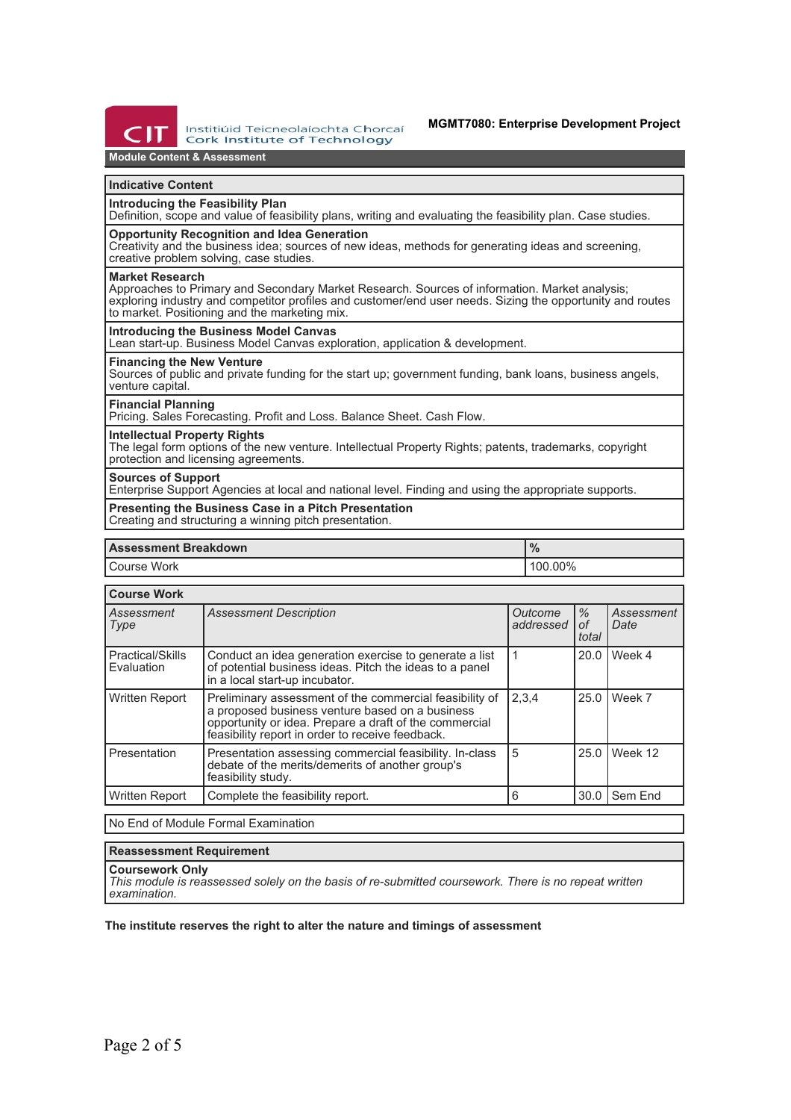

Institiúid Teicneolaíochta Chorcaí **Cork Institute of Technology** 

# **Module Content & Assessment**

### **Indicative Content**

#### **Introducing the Feasibility Plan**

Definition, scope and value of feasibility plans, writing and evaluating the feasibility plan. Case studies.

## **Opportunity Recognition and Idea Generation**

Creativity and the business idea; sources of new ideas, methods for generating ideas and screening, creative problem solving, case studies.

#### **Market Research**

Approaches to Primary and Secondary Market Research. Sources of information. Market analysis; exploring industry and competitor profiles and customer/end user needs. Sizing the opportunity and routes to market. Positioning and the marketing mix.

### **Introducing the Business Model Canvas**

Lean start-up. Business Model Canvas exploration, application & development.

### **Financing the New Venture**

Sources of public and private funding for the start up; government funding, bank loans, business angels, venture capital.

# **Financial Planning**

Pricing. Sales Forecasting. Profit and Loss. Balance Sheet. Cash Flow.

# **Intellectual Property Rights**

The legal form options of the new venture. Intellectual Property Rights; patents, trademarks, copyright protection and licensing agreements.

#### **Sources of Support**

Enterprise Support Agencies at local and national level. Finding and using the appropriate supports.

**Presenting the Business Case in a Pitch Presentation** Creating and structuring a winning pitch presentation.

| <b>Assessment Breakdown</b> | $\sqrt{0}$ |  |
|-----------------------------|------------|--|
| <sup>I</sup> Course Work    | 100.00%    |  |

## **Course Work**

| Assessment<br>Type             | <b>Assessment Description</b>                                                                                                                                                                                            | Outcome<br>addressed | $\frac{1}{2}$<br>оf<br>total | Assessment<br>Date |  |  |
|--------------------------------|--------------------------------------------------------------------------------------------------------------------------------------------------------------------------------------------------------------------------|----------------------|------------------------------|--------------------|--|--|
| Practical/Skills<br>Evaluation | Conduct an idea generation exercise to generate a list<br>of potential business ideas. Pitch the ideas to a panel<br>in a local start-up incubator.                                                                      |                      | 20.0                         | Week 4             |  |  |
| Written Report                 | Preliminary assessment of the commercial feasibility of<br>a proposed business venture based on a business<br>opportunity or idea. Prepare a draft of the commercial<br>feasibility report in order to receive feedback. | 2.3.4                | 25.0                         | Week 7             |  |  |
| Presentation                   | Presentation assessing commercial feasibility. In-class<br>debate of the merits/demerits of another group's<br>feasibility study.                                                                                        | 5                    | 25.0                         | Week 12            |  |  |
| <b>Written Report</b>          | Complete the feasibility report.                                                                                                                                                                                         | 6                    | 30.0                         | Sem End            |  |  |
|                                |                                                                                                                                                                                                                          |                      |                              |                    |  |  |

No End of Module Formal Examination

## **Reassessment Requirement**

#### **Coursework Only**

*This module is reassessed solely on the basis of re-submitted coursework. There is no repeat written examination.*

### **The institute reserves the right to alter the nature and timings of assessment**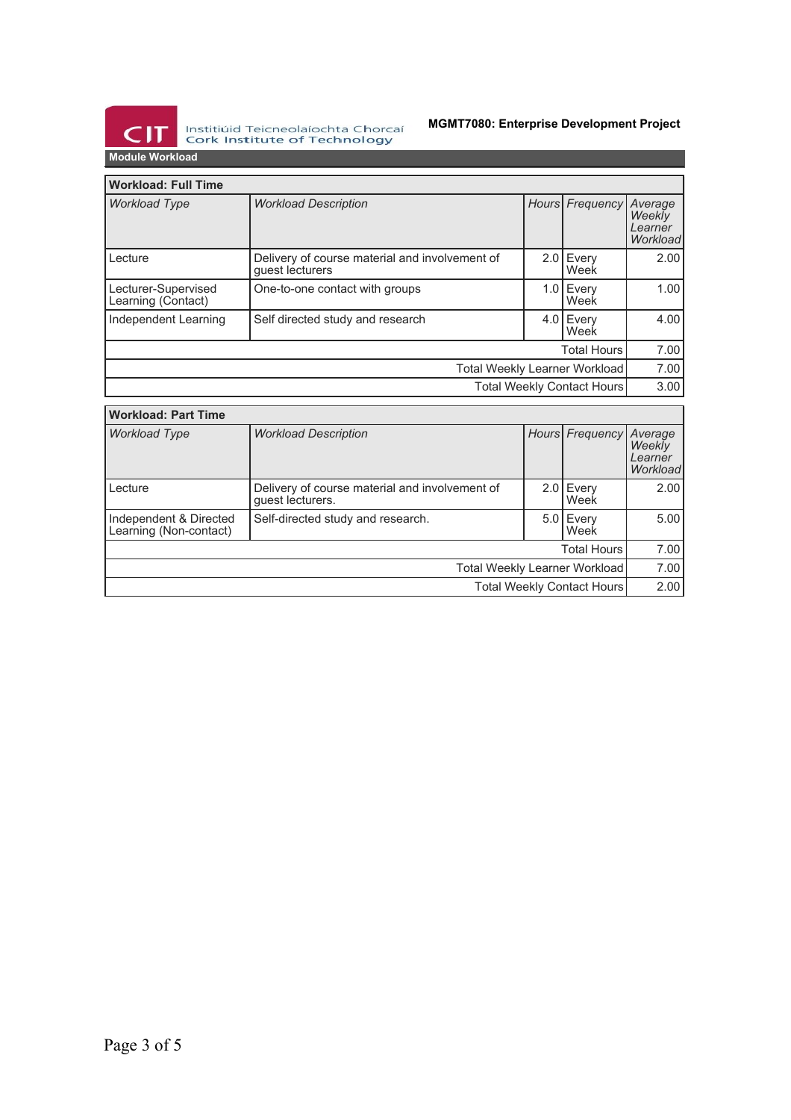

Institiúid Teicneolaíochta Chorcaí<br>Cork Institute of Technology

# **MGMT7080: Enterprise Development Project**

**Module Workload**

| <b>Workload: Full Time</b>                |                                                                   |  |                   |                                          |  |  |
|-------------------------------------------|-------------------------------------------------------------------|--|-------------------|------------------------------------------|--|--|
| <b>Workload Type</b>                      | <b>Workload Description</b>                                       |  | Hours Frequency   | Average<br>Weekly<br>Learner<br>Workload |  |  |
| Lecture                                   | Delivery of course material and involvement of<br>guest lecturers |  | 2.0 Every<br>Week | 2.00                                     |  |  |
| Lecturer-Supervised<br>Learning (Contact) | One-to-one contact with groups                                    |  | 1.0 Every<br>Week | 1.00                                     |  |  |
| Independent Learning                      | Self directed study and research                                  |  | 4.0 Every<br>Week | 4.00                                     |  |  |
| <b>Total Hours</b>                        |                                                                   |  |                   |                                          |  |  |
| Total Weekly Learner Workload             |                                                                   |  |                   | 7.00                                     |  |  |
| <b>Total Weekly Contact Hours</b>         |                                                                   |  |                   | 3.00                                     |  |  |

| <b>Workload: Part Time</b>                       |                                                                    |  |                     |                                          |  |  |
|--------------------------------------------------|--------------------------------------------------------------------|--|---------------------|------------------------------------------|--|--|
| <b>Workload Type</b>                             | <b>Workload Description</b>                                        |  | Hours Frequency     | Average<br>Weekly<br>Learner<br>Workload |  |  |
| Lecture                                          | Delivery of course material and involvement of<br>guest lecturers. |  | $2.0$ Every<br>Week | 2.00                                     |  |  |
| Independent & Directed<br>Learning (Non-contact) | Self-directed study and research.                                  |  | $5.0$ Every<br>Week | 5.00                                     |  |  |
| <b>Total Hours</b>                               |                                                                    |  |                     |                                          |  |  |
| Total Weekly Learner Workload                    |                                                                    |  |                     | 7.00                                     |  |  |
| Total Weekly Contact Hours                       |                                                                    |  |                     | 2.00                                     |  |  |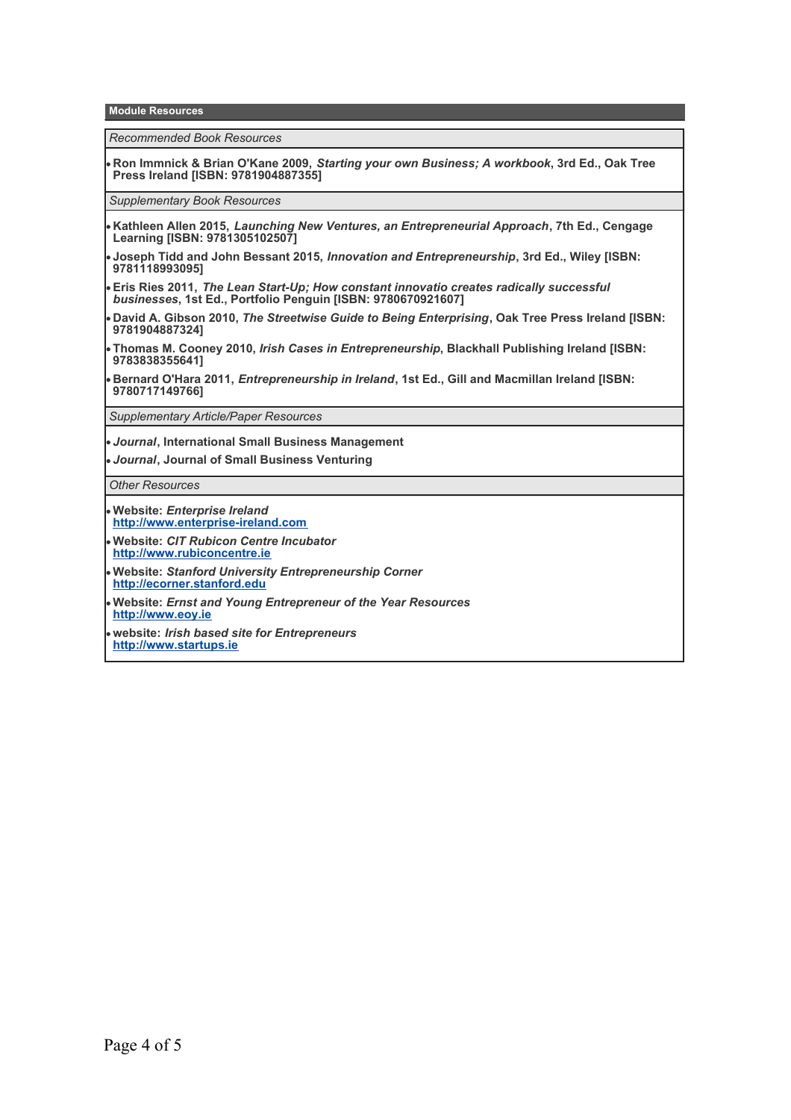**Module Resources**

*Recommended Book Resources*

**Ron Immnick & Brian O'Kane 2009,** *Starting your own Business; A workbook***, 3rd Ed., Oak Tree Press Ireland [ISBN: 9781904887355]**

*Supplementary Book Resources*

- **Kathleen Allen 2015,** *Launching New Ventures, an Entrepreneurial Approach***, 7th Ed., Cengage Learning [ISBN: 9781305102507]**
- **Joseph Tidd and John Bessant 2015,** *Innovation and Entrepreneurship***, 3rd Ed., Wiley [ISBN: 9781118993095]**
- **Eris Ries 2011,** *The Lean Start-Up; How constant innovatio creates radically successful businesses***, 1st Ed., Portfolio Penguin [ISBN: 9780670921607]**
- **David A. Gibson 2010,** *The Streetwise Guide to Being Enterprising***, Oak Tree Press Ireland [ISBN: 9781904887324]**
- **Thomas M. Cooney 2010,** *Irish Cases in Entrepreneurship***, Blackhall Publishing Ireland [ISBN: 9783838355641]**
- **Bernard O'Hara 2011,** *Entrepreneurship in Ireland***, 1st Ed., Gill and Macmillan Ireland [ISBN: 9780717149766]**

*Supplementary Article/Paper Resources*

- *Journal***, International Small Business Management**
- *Journal***, Journal of Small Business Venturing**

*Other Resources*

- **Website:** *Enterprise Ireland* **<http://www.enterprise-ireland.com>**
- **Website:** *CIT Rubicon Centre Incubator* **<http://www.rubiconcentre.ie>**
- **Website:** *Stanford University Entrepreneurship Corner*  **<http://ecorner.stanford.edu>**
- **Website:** *Ernst and Young Entrepreneur of the Year Resources*  **<http://www.eoy.ie>**
- **website:** *Irish based site for Entrepreneurs* **<http://www.startups.ie>**